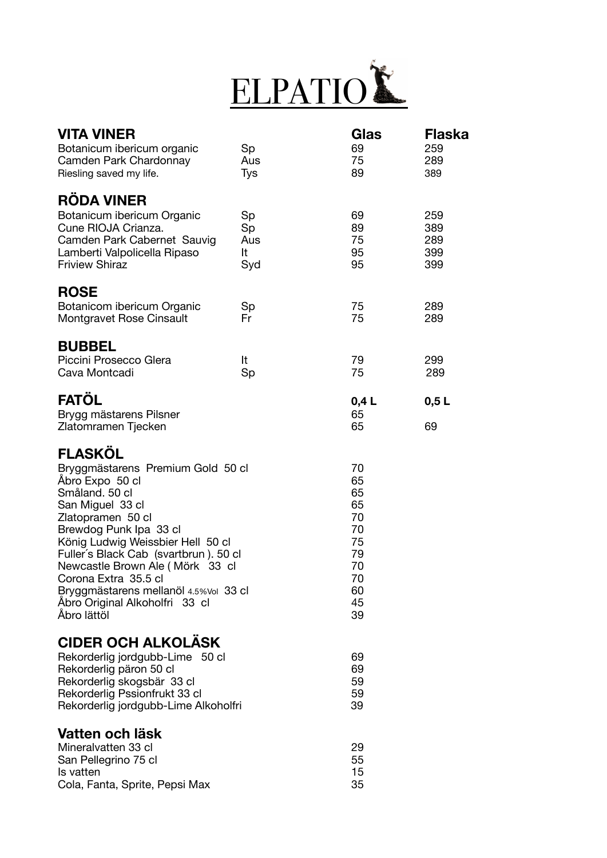

| <b>VITA VINER</b><br>Botanicum ibericum organic<br>Camden Park Chardonnay<br>Riesling saved my life.                                                                                                                                                                                                                                                                                            | Sp<br>Aus<br>Tys             | Glas<br>69<br>75<br>89                                                     | Flaska<br>259<br>289<br>389     |
|-------------------------------------------------------------------------------------------------------------------------------------------------------------------------------------------------------------------------------------------------------------------------------------------------------------------------------------------------------------------------------------------------|------------------------------|----------------------------------------------------------------------------|---------------------------------|
| <b>RÖDA VINER</b><br>Botanicum ibericum Organic<br>Cune RIOJA Crianza.<br>Camden Park Cabernet Sauvig<br>Lamberti Valpolicella Ripaso<br><b>Friview Shiraz</b>                                                                                                                                                                                                                                  | Sp<br>Sp<br>Aus<br>It<br>Syd | 69<br>89<br>75<br>95<br>95                                                 | 259<br>389<br>289<br>399<br>399 |
| <b>ROSE</b><br>Botanicom ibericum Organic<br>Montgravet Rose Cinsault                                                                                                                                                                                                                                                                                                                           | Sp<br>Fr                     | 75<br>75                                                                   | 289<br>289                      |
| <b>BUBBEL</b><br>Piccini Prosecco Glera<br>Cava Montcadi                                                                                                                                                                                                                                                                                                                                        | It<br>Sp                     | 79<br>75                                                                   | 299<br>289                      |
| <b>FATÖL</b><br>Brygg mästarens Pilsner<br>Zlatomramen Tjecken                                                                                                                                                                                                                                                                                                                                  |                              | 0,4L<br>65<br>65                                                           | 0,5L<br>69                      |
| <b>FLASKÖL</b><br>Bryggmästarens Premium Gold 50 cl<br>Åbro Expo 50 cl<br>Småland. 50 cl<br>San Miguel 33 cl<br>Zlatopramen 50 cl<br>Brewdog Punk Ipa 33 cl<br>König Ludwig Weissbier Hell 50 cl<br>Fuller's Black Cab (svartbrun). 50 cl<br>Newcastle Brown Ale (Mörk 33 cl<br>Corona Extra 35.5 cl<br>Bryggmästarens mellanöl 4.5% Vol 33 cl<br>Åbro Original Alkoholfri 33 cl<br>Åbro lättöl |                              | 70<br>65<br>65<br>65<br>70<br>70<br>75<br>79<br>70<br>70<br>60<br>45<br>39 |                                 |
| <b>CIDER OCH ALKOLASK</b><br>Rekorderlig jordgubb-Lime 50 cl<br>Rekorderlig päron 50 cl<br>Rekorderlig skogsbär 33 cl<br>Rekorderlig Pssionfrukt 33 cl<br>Rekorderlig jordgubb-Lime Alkoholfri                                                                                                                                                                                                  |                              | 69<br>69<br>59<br>59<br>39                                                 |                                 |
| Vatten och läsk<br>Mineralvatten 33 cl<br>San Pellegrino 75 cl<br>Is vatten<br>Cola, Fanta, Sprite, Pepsi Max                                                                                                                                                                                                                                                                                   |                              | 29<br>55<br>15<br>35                                                       |                                 |